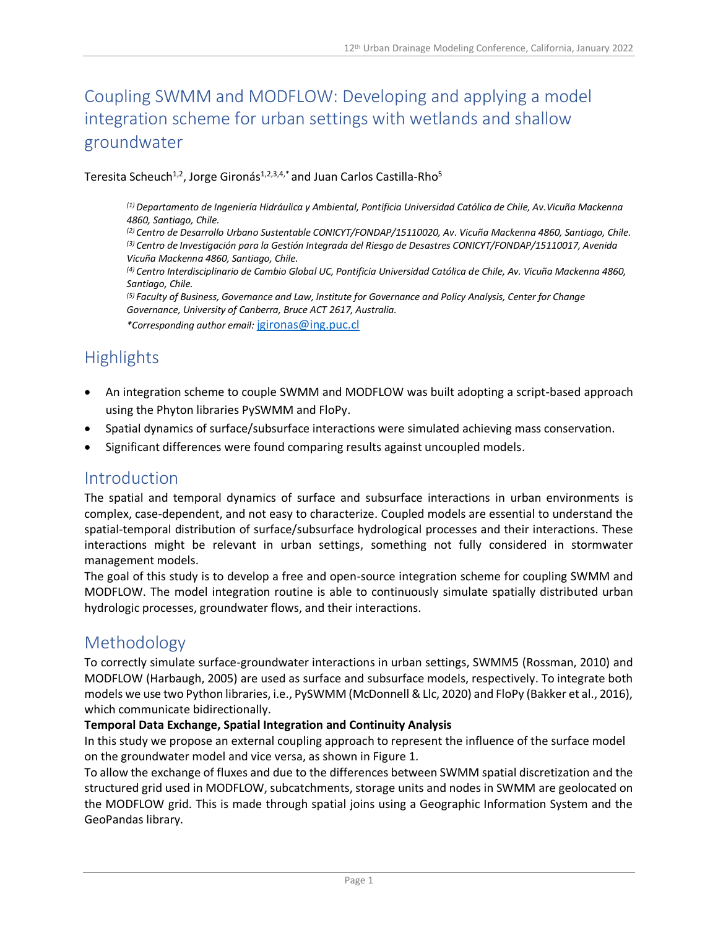# Coupling SWMM and MODFLOW: Developing and applying a model integration scheme for urban settings with wetlands and shallow groundwater

Teresita Scheuch<sup>1,2</sup>, Jorge Gironás<sup>1,2,3,4,\*</sup> and Juan Carlos Castilla-Rho<sup>5</sup>

*(1) Departamento de Ingeniería Hidráulica y Ambiental, Pontificia Universidad Católica de Chile, Av.Vicuña Mackenna 4860, Santiago, Chile.*

*(2) Centro de Desarrollo Urbano Sustentable CONICYT/FONDAP/15110020, Av. Vicuña Mackenna 4860, Santiago, Chile. (3) Centro de Investigación para la Gestión Integrada del Riesgo de Desastres CONICYT/FONDAP/15110017, Avenida Vicuña Mackenna 4860, Santiago, Chile.*

*(4) Centro Interdisciplinario de Cambio Global UC, Pontificia Universidad Católica de Chile, Av. Vicuña Mackenna 4860, Santiago, Chile.*

*(5) Faculty of Business, Governance and Law, Institute for Governance and Policy Analysis, Center for Change Governance, University of Canberra, Bruce ACT 2617, Australia. \*Corresponding author email:* [jgironas@ing.puc.cl](mailto:jgironas@ing.puc.cl)

# **Highlights**

- An integration scheme to couple SWMM and MODFLOW was built adopting a script-based approach using the Phyton libraries PySWMM and FloPy.
- Spatial dynamics of surface/subsurface interactions were simulated achieving mass conservation.
- Significant differences were found comparing results against uncoupled models.

## Introduction

The spatial and temporal dynamics of surface and subsurface interactions in urban environments is complex, case-dependent, and not easy to characterize. Coupled models are essential to understand the spatial-temporal distribution of surface/subsurface hydrological processes and their interactions. These interactions might be relevant in urban settings, something not fully considered in stormwater management models.

The goal of this study is to develop a free and open-source integration scheme for coupling SWMM and MODFLOW. The model integration routine is able to continuously simulate spatially distributed urban hydrologic processes, groundwater flows, and their interactions.

## Methodology

To correctly simulate surface-groundwater interactions in urban settings, SWMM5 (Rossman, 2010) and MODFLOW (Harbaugh, 2005) are used as surface and subsurface models, respectively. To integrate both models we use two Python libraries, i.e., PySWMM (McDonnell & Llc, 2020) and FloPy (Bakker et al., 2016), which communicate bidirectionally.

#### **Temporal Data Exchange, Spatial Integration and Continuity Analysis**

In this study we propose an external coupling approach to represent the influence of the surface model on the groundwater model and vice versa, as shown in Figure 1.

To allow the exchange of fluxes and due to the differences between SWMM spatial discretization and the structured grid used in MODFLOW, subcatchments, storage units and nodes in SWMM are geolocated on the MODFLOW grid. This is made through spatial joins using a Geographic Information System and the GeoPandas library.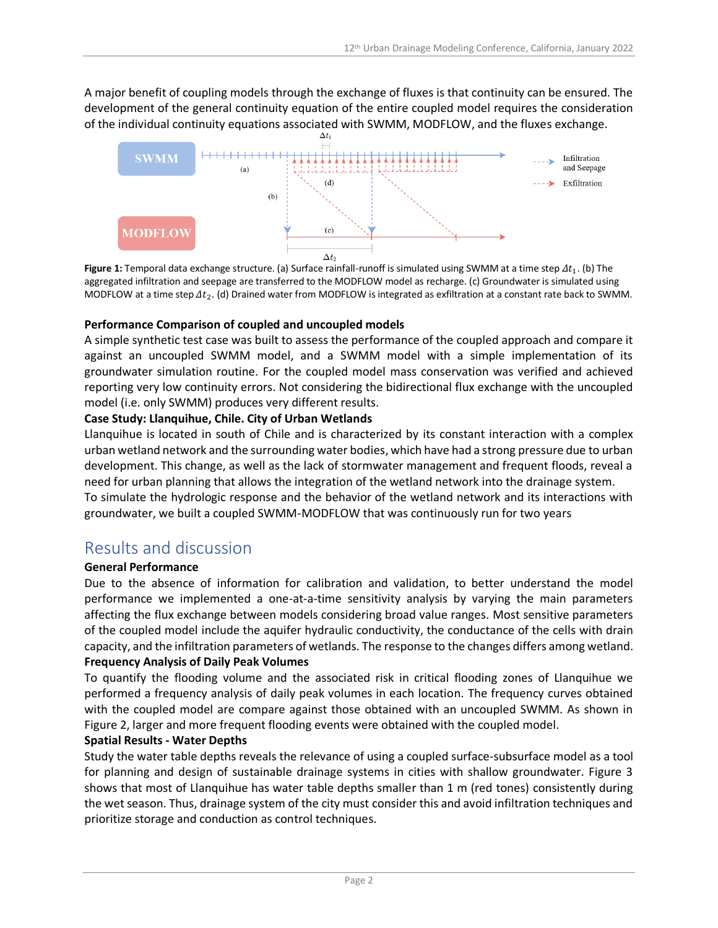A major benefit of coupling models through the exchange of fluxes is that continuity can be ensured. The development of the general continuity equation of the entire coupled model requires the consideration of the individual continuity equations associated with SWMM, MODFLOW, and the fluxes exchange.



**Figure 1:** Temporal data exchange structure. (a) Surface rainfall-runoff is simulated using SWMM at a time step  $\varDelta t_1$ . (b) The aggregated infiltration and seepage are transferred to the MODFLOW model as recharge. (c) Groundwater is simulated using MODFLOW at a time step  $\varDelta t_2$ . (d) Drained water from MODFLOW is integrated as exfiltration at a constant rate back to SWMM.

#### **Performance Comparison of coupled and uncoupled models**

A simple synthetic test case was built to assess the performance of the coupled approach and compare it against an uncoupled SWMM model, and a SWMM model with a simple implementation of its groundwater simulation routine. For the coupled model mass conservation was verified and achieved reporting very low continuity errors. Not considering the bidirectional flux exchange with the uncoupled model (i.e. only SWMM) produces very different results.

#### **Case Study: Llanquihue, Chile. City of Urban Wetlands**

Llanquihue is located in south of Chile and is characterized by its constant interaction with a complex urban wetland network and the surrounding water bodies, which have had a strong pressure due to urban development. This change, as well as the lack of stormwater management and frequent floods, reveal a need for urban planning that allows the integration of the wetland network into the drainage system. To simulate the hydrologic response and the behavior of the wetland network and its interactions with groundwater, we built a coupled SWMM-MODFLOW that was continuously run for two years

## Results and discussion

#### **General Performance**

Due to the absence of information for calibration and validation, to better understand the model performance we implemented a one-at-a-time sensitivity analysis by varying the main parameters affecting the flux exchange between models considering broad value ranges. Most sensitive parameters of the coupled model include the aquifer hydraulic conductivity, the conductance of the cells with drain capacity, and the infiltration parameters of wetlands. The response to the changes differs among wetland. **Frequency Analysis of Daily Peak Volumes**

To quantify the flooding volume and the associated risk in critical flooding zones of Llanquihue we performed a frequency analysis of daily peak volumes in each location. The frequency curves obtained with the coupled model are compare against those obtained with an uncoupled SWMM. As shown in Figure 2, larger and more frequent flooding events were obtained with the coupled model.

#### **Spatial Results - Water Depths**

Study the water table depths reveals the relevance of using a coupled surface-subsurface model as a tool for planning and design of sustainable drainage systems in cities with shallow groundwater. Figure 3 shows that most of Llanquihue has water table depths smaller than 1 m (red tones) consistently during the wet season. Thus, drainage system of the city must consider this and avoid infiltration techniques and prioritize storage and conduction as control techniques.